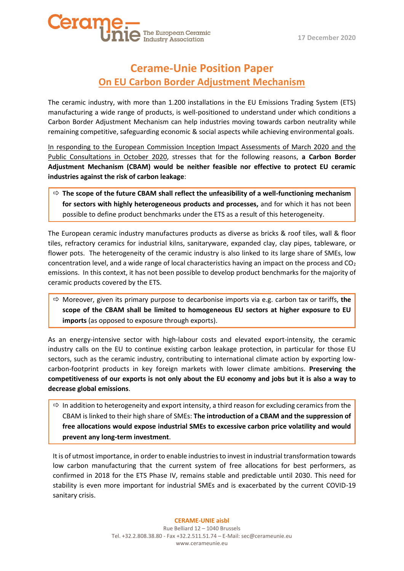

# **Cerame-Unie Position Paper On EU Carbon Border Adjustment Mechanism**

The ceramic industry, with more than 1.200 installations in the EU Emissions Trading System (ETS) manufacturing a wide range of products, is well-positioned to understand under which conditions a Carbon Border Adjustment Mechanism can help industries moving towards carbon neutrality while remaining competitive, safeguarding economic & social aspects while achieving environmental goals.

In responding to the European Commission Inception Impact Assessments of March 2020 and the Public Consultations in October 2020, stresses that for the following reasons, **a Carbon Border Adjustment Mechanism (CBAM) would be neither feasible nor effective to protect EU ceramic industries against the risk of carbon leakage**:

 **The scope of the future CBAM shall reflect the unfeasibility of a well-functioning mechanism for sectors with highly heterogeneous products and processes,** and for which it has not been possible to define product benchmarks under the ETS as a result of this heterogeneity.

The European ceramic industry manufactures products as diverse as bricks & roof tiles, wall & floor tiles, refractory ceramics for industrial kilns, sanitaryware, expanded clay, clay pipes, tableware, or flower pots. The heterogeneity of the ceramic industry is also linked to its large share of SMEs, low concentration level, and a wide range of local characteristics having an impact on the process and CO<sub>2</sub> emissions. In this context, it has not been possible to develop product benchmarks for the majority of ceramic products covered by the ETS.

 Moreover, given its primary purpose to decarbonise imports via e.g. carbon tax or tariffs, **the scope of the CBAM shall be limited to homogeneous EU sectors at higher exposure to EU imports** (as opposed to exposure through exports).

As an energy-intensive sector with high-labour costs and elevated export-intensity, the ceramic industry calls on the EU to continue existing carbon leakage protection, in particular for those EU sectors, such as the ceramic industry, contributing to international climate action by exporting lowcarbon-footprint products in key foreign markets with lower climate ambitions. **Preserving the competitiveness of our exports is not only about the EU economy and jobs but it is also a way to decrease global emissions**.

 $\Rightarrow$  In addition to heterogeneity and export intensity, a third reason for excluding ceramics from the CBAM is linked to their high share of SMEs: **The introduction of a CBAM and the suppression of free allocations would expose industrial SMEs to excessive carbon price volatility and would prevent any long-term investment**.

It is of utmost importance, in order to enable industries to invest in industrial transformation towards low carbon manufacturing that the current system of free allocations for best performers, as confirmed in 2018 for the ETS Phase IV, remains stable and predictable until 2030. This need for stability is even more important for industrial SMEs and is exacerbated by the current COVID-19 sanitary crisis.

#### **CERAME-UNIE aisbl**

Rue Belliard 12 – 1040 Brussels Tel. +32.2.808.38.80 - Fax +32.2.511.51.74 – E-Mail: [sec@cerameunie.eu](mailto:sec@cerameunie.eu) www.cerameunie.eu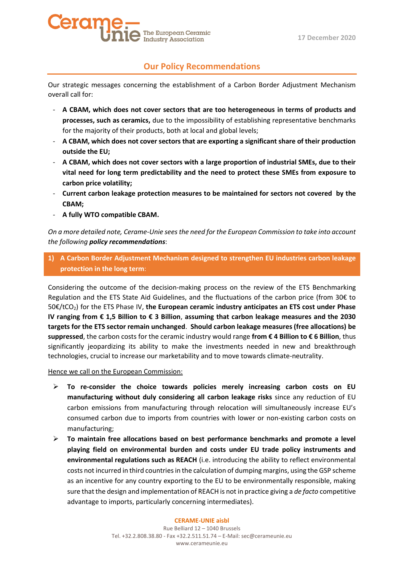# **Our Policy Recommendations**

Our strategic messages concerning the establishment of a Carbon Border Adjustment Mechanism overall call for:

- **A CBAM, which does not cover sectors that are too heterogeneous in terms of products and processes, such as ceramics,** due to the impossibility of establishing representative benchmarks for the majority of their products, both at local and global levels;
- **A CBAM, which does not cover sectors that are exporting a significant share of their production outside the EU;**
- **A CBAM, which does not cover sectors with a large proportion of industrial SMEs, due to their vital need for long term predictability and the need to protect these SMEs from exposure to carbon price volatility;**
- **Current carbon leakage protection measures to be maintained for sectors not covered by the CBAM;**
- **A fully WTO compatible CBAM.**

*On a more detailed note, Cerame-Unie sees the need for the European Commission to take into account the following policy recommendations*:

**1) A Carbon Border Adjustment Mechanism designed to strengthen EU industries carbon leakage protection in the long term**:

Considering the outcome of the decision-making process on the review of the ETS Benchmarking Regulation and the ETS State Aid Guidelines, and the fluctuations of the carbon price (from 30€ to 50€/tCO2) for the ETS Phase IV, **the European ceramic industry anticipates an ETS cost under Phase IV ranging from € 1,5 Billion to € 3 Billion**, **assuming that carbon leakage measures and the 2030 targets for the ETS sector remain unchanged**. **Should carbon leakage measures (free allocations) be suppressed**, the carbon costs for the ceramic industry would range **from € 4 Billion to € 6 Billion**, thus significantly jeopardizing its ability to make the investments needed in new and breakthrough technologies, crucial to increase our marketability and to move towards climate-neutrality.

Hence we call on the European Commission:

- ➢ **To re-consider the choice towards policies merely increasing carbon costs on EU manufacturing without duly considering all carbon leakage risks** since any reduction of EU carbon emissions from manufacturing through relocation will simultaneously increase EU's consumed carbon due to imports from countries with lower or non-existing carbon costs on manufacturing;
- ➢ **To maintain free allocations based on best performance benchmarks and promote a level playing field on environmental burden and costs under EU trade policy instruments and environmental regulations such as REACH** (i.e. introducing the ability to reflect environmental costs not incurred in third countries in the calculation of dumping margins, using the GSP scheme as an incentive for any country exporting to the EU to be environmentally responsible, making sure that the design and implementation of REACH is not in practice giving a *de facto* competitive advantage to imports, particularly concerning intermediates).

**CERAME-UNIE aisbl**

Rue Belliard 12 – 1040 Brussels Tel. +32.2.808.38.80 - Fax +32.2.511.51.74 – E-Mail: [sec@cerameunie.eu](mailto:sec@cerameunie.eu) www.cerameunie.eu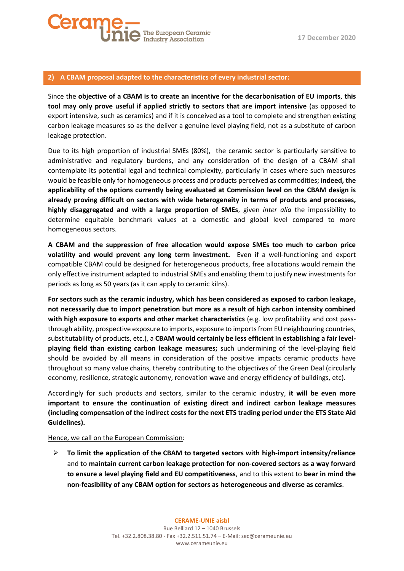

### **2) A CBAM proposal adapted to the characteristics of every industrial sector:**

Since the **objective of a CBAM is to create an incentive for the decarbonisation of EU imports**, **this tool may only prove useful if applied strictly to sectors that are import intensive** (as opposed to export intensive, such as ceramics) and if it is conceived as a tool to complete and strengthen existing carbon leakage measures so as the deliver a genuine level playing field, not as a substitute of carbon leakage protection.

Due to its high proportion of industrial SMEs (80%), the ceramic sector is particularly sensitive to administrative and regulatory burdens, and any consideration of the design of a CBAM shall contemplate its potential legal and technical complexity, particularly in cases where such measures would be feasible only for homogeneous process and products perceived as commodities; **indeed, the applicability of the options currently being evaluated at Commission level on the CBAM design is already proving difficult on sectors with wide heterogeneity in terms of products and processes, highly disaggregated and with a large proportion of SMEs**, given *inter alia* the impossibility to determine equitable benchmark values at a domestic and global level compared to more homogeneous sectors.

**A CBAM and the suppression of free allocation would expose SMEs too much to carbon price volatility and would prevent any long term investment.** Even if a well-functioning and export compatible CBAM could be designed for heterogeneous products, free allocations would remain the only effective instrument adapted to industrial SMEs and enabling them to justify new investments for periods as long as 50 years (as it can apply to ceramic kilns).

**For sectors such as the ceramic industry, which has been considered as exposed to carbon leakage, not necessarily due to import penetration but more as a result of high carbon intensity combined with high exposure to exports and other market characteristics** (e.g. low profitability and cost passthrough ability, prospective exposure to imports, exposure to imports from EU neighbouring countries, substitutability of products, etc.), a **CBAM would certainly be less efficient in establishing a fair levelplaying field than existing carbon leakage measures;** such undermining of the level-playing field should be avoided by all means in consideration of the positive impacts ceramic products have throughout so many value chains, thereby contributing to the objectives of the Green Deal (circularly economy, resilience, strategic autonomy, renovation wave and energy efficiency of buildings, etc).

Accordingly for such products and sectors, similar to the ceramic industry, **it will be even more important to ensure the continuation of existing direct and indirect carbon leakage measures (including compensation of the indirect costs for the next ETS trading period under the ETS State Aid Guidelines).**

#### Hence, we call on the European Commission:

➢ **To limit the application of the CBAM to targeted sectors with high-import intensity/reliance** and to **maintain current carbon leakage protection for non-covered sectors as a way forward to ensure a level playing field and EU competitiveness**, and to this extent to **bear in mind the non-feasibility of any CBAM option for sectors as heterogeneous and diverse as ceramics**.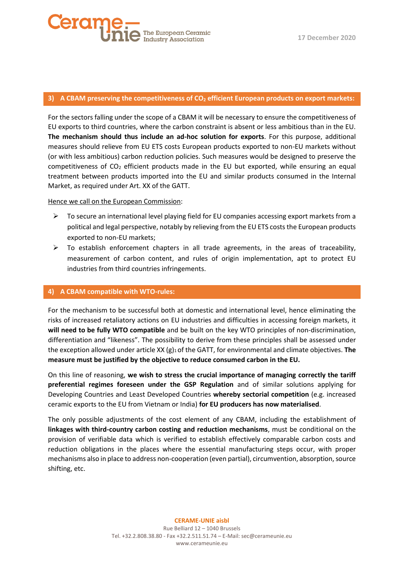

### **3) A CBAM preserving the competitiveness of CO<sup>2</sup> efficient European products on export markets:**

For the sectors falling under the scope of a CBAM it will be necessary to ensure the competitiveness of EU exports to third countries, where the carbon constraint is absent or less ambitious than in the EU. **The mechanism should thus include an ad-hoc solution for exports**. For this purpose, additional measures should relieve from EU ETS costs European products exported to non-EU markets without (or with less ambitious) carbon reduction policies. Such measures would be designed to preserve the competitiveness of  $CO<sub>2</sub>$  efficient products made in the EU but exported, while ensuring an equal treatment between products imported into the EU and similar products consumed in the Internal Market, as required under Art. XX of the GATT.

## Hence we call on the European Commission:

- $\triangleright$  To secure an international level playing field for EU companies accessing export markets from a political and legal perspective, notably by relieving from the EU ETS coststhe European products exported to non-EU markets;
- ➢ To establish enforcement chapters in all trade agreements, in the areas of traceability, measurement of carbon content, and rules of origin implementation, apt to protect EU industries from third countries infringements.

## **4) A CBAM compatible with WTO-rules:**

For the mechanism to be successful both at domestic and international level, hence eliminating the risks of increased retaliatory actions on EU industries and difficulties in accessing foreign markets, it **will need to be fully WTO compatible** and be built on the key WTO principles of non-discrimination, differentiation and "likeness". The possibility to derive from these principles shall be assessed under the exception allowed under article XX (g)1 of the GATT, for environmental and climate objectives. **The measure must be justified by the objective to reduce consumed carbon in the EU.** 

On this line of reasoning, **we wish to stress the crucial importance of managing correctly the tariff preferential regimes foreseen under the GSP Regulation** and of similar solutions applying for Developing Countries and Least Developed Countries **whereby sectorial competition** (e.g. increased ceramic exports to the EU from Vietnam or India) **for EU producers has now materialised**.

The only possible adjustments of the cost element of any CBAM, including the establishment of **linkages with third-country carbon costing and reduction mechanisms**, must be conditional on the provision of verifiable data which is verified to establish effectively comparable carbon costs and reduction obligations in the places where the essential manufacturing steps occur, with proper mechanisms also in place to address non-cooperation (even partial), circumvention, absorption, source shifting, etc.

#### **CERAME-UNIE aisbl**

Rue Belliard 12 – 1040 Brussels Tel. +32.2.808.38.80 - Fax +32.2.511.51.74 – E-Mail: [sec@cerameunie.eu](mailto:sec@cerameunie.eu) www.cerameunie.eu